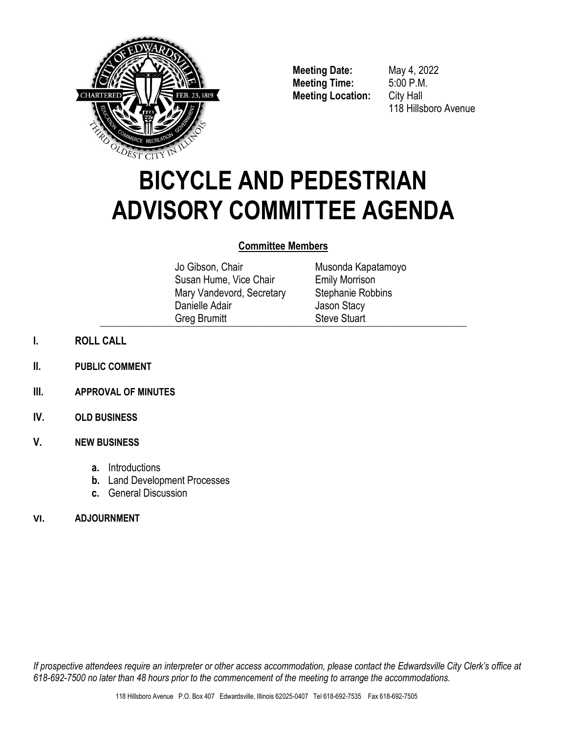

**Meeting Date:** May 4, 2022 **Meeting Time:** 5:00 P.M. **Meeting Location:** City Hall

118 Hillsboro Avenue

# **BICYCLE AND PEDESTRIAN ADVISORY COMMITTEE AGENDA**

# **Committee Members**

Jo Gibson, Chair Susan Hume, Vice Chair Mary Vandevord, Secretary Danielle Adair Greg Brumitt  $\bigcup$  is the condition of  $\bigcup$  is the conditional  $\bigcup$  is the conditional  $\bigcup$  is the conditional  $\bigcup$  is the conditional  $\bigcup$  is the conditional  $\bigcup$  is the conditional  $\bigcup$  is the conditional  $\bigcup$  is the conditi

Musonda Kapatamoyo Emily Morrison Stephanie Robbins Jason Stacy Steve Stuart

- **I. ROLL CALL**
- **II. PUBLIC COMMENT**
- **III. APPROVAL OF MINUTES**
- **IV. OLD BUSINESS**

# **V. NEW BUSINESS**

- **a.** Introductions
- **b.** Land Development Processes
- **c.** General Discussion

# **VI. ADJOURNMENT**

*If prospective attendees require an interpreter or other access accommodation, please contact the Edwardsville City Clerk's office at 618-692-7500 no later than 48 hours prior to the commencement of the meeting to arrange the accommodations.*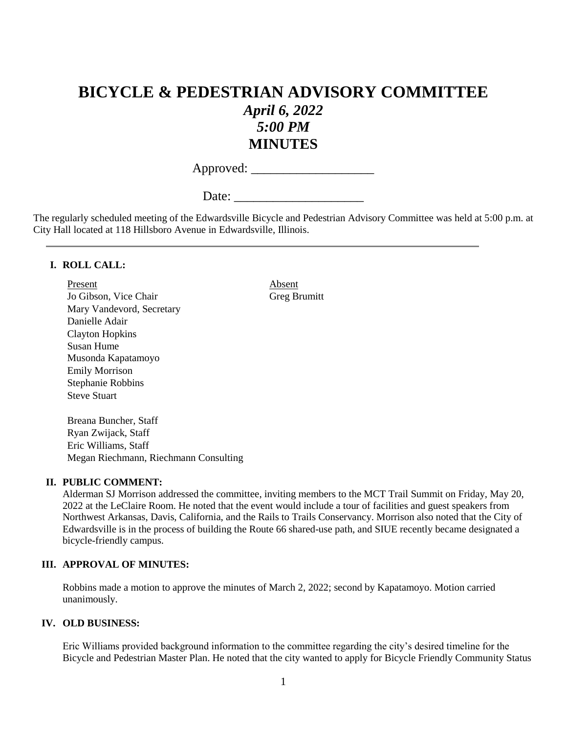# **BICYCLE & PEDESTRIAN ADVISORY COMMITTEE** *April 6, 2022 5:00 PM* **MINUTES**

Approved: \_\_\_\_\_\_\_\_\_\_\_\_\_\_\_\_\_\_\_

Date:

The regularly scheduled meeting of the Edwardsville Bicycle and Pedestrian Advisory Committee was held at 5:00 p.m. at City Hall located at 118 Hillsboro Avenue in Edwardsville, Illinois.

#### **I. ROLL CALL:**

Present Absent Jo Gibson, Vice Chair Greg Brumitt Mary Vandevord, Secretary Danielle Adair Clayton Hopkins Susan Hume Musonda Kapatamoyo Emily Morrison Stephanie Robbins Steve Stuart

Breana Buncher, Staff Ryan Zwijack, Staff Eric Williams, Staff Megan Riechmann, Riechmann Consulting

#### **II. PUBLIC COMMENT:**

Alderman SJ Morrison addressed the committee, inviting members to the MCT Trail Summit on Friday, May 20, 2022 at the LeClaire Room. He noted that the event would include a tour of facilities and guest speakers from Northwest Arkansas, Davis, California, and the Rails to Trails Conservancy. Morrison also noted that the City of Edwardsville is in the process of building the Route 66 shared-use path, and SIUE recently became designated a bicycle-friendly campus.

#### **III. APPROVAL OF MINUTES:**

Robbins made a motion to approve the minutes of March 2, 2022; second by Kapatamoyo. Motion carried unanimously.

#### **IV. OLD BUSINESS:**

Eric Williams provided background information to the committee regarding the city's desired timeline for the Bicycle and Pedestrian Master Plan. He noted that the city wanted to apply for Bicycle Friendly Community Status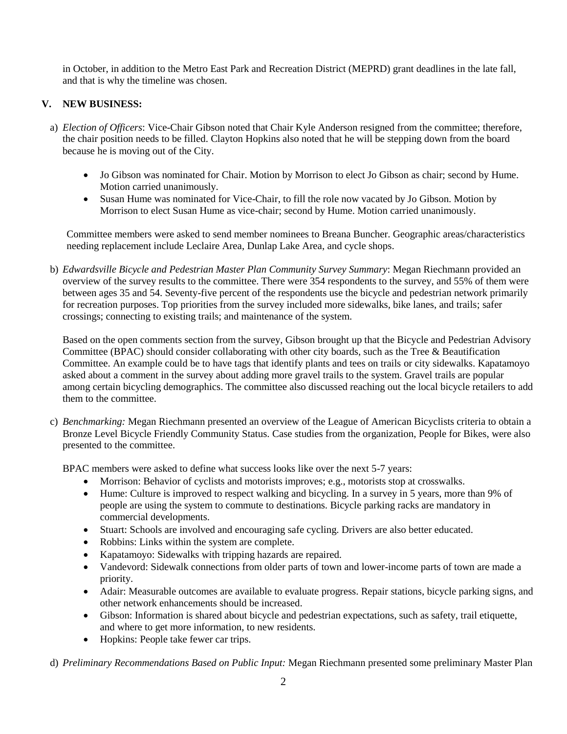in October, in addition to the Metro East Park and Recreation District (MEPRD) grant deadlines in the late fall, and that is why the timeline was chosen.

## **V. NEW BUSINESS:**

- a) *Election of Officers*: Vice-Chair Gibson noted that Chair Kyle Anderson resigned from the committee; therefore, the chair position needs to be filled. Clayton Hopkins also noted that he will be stepping down from the board because he is moving out of the City.
	- Jo Gibson was nominated for Chair. Motion by Morrison to elect Jo Gibson as chair; second by Hume. Motion carried unanimously.
	- Susan Hume was nominated for Vice-Chair, to fill the role now vacated by Jo Gibson. Motion by Morrison to elect Susan Hume as vice-chair; second by Hume. Motion carried unanimously.

Committee members were asked to send member nominees to Breana Buncher. Geographic areas/characteristics needing replacement include Leclaire Area, Dunlap Lake Area, and cycle shops.

b) *Edwardsville Bicycle and Pedestrian Master Plan Community Survey Summary*: Megan Riechmann provided an overview of the survey results to the committee. There were 354 respondents to the survey, and 55% of them were between ages 35 and 54. Seventy-five percent of the respondents use the bicycle and pedestrian network primarily for recreation purposes. Top priorities from the survey included more sidewalks, bike lanes, and trails; safer crossings; connecting to existing trails; and maintenance of the system.

Based on the open comments section from the survey, Gibson brought up that the Bicycle and Pedestrian Advisory Committee (BPAC) should consider collaborating with other city boards, such as the Tree & Beautification Committee. An example could be to have tags that identify plants and tees on trails or city sidewalks. Kapatamoyo asked about a comment in the survey about adding more gravel trails to the system. Gravel trails are popular among certain bicycling demographics. The committee also discussed reaching out the local bicycle retailers to add them to the committee.

c) *Benchmarking:* Megan Riechmann presented an overview of the League of American Bicyclists criteria to obtain a Bronze Level Bicycle Friendly Community Status. Case studies from the organization, People for Bikes, were also presented to the committee.

BPAC members were asked to define what success looks like over the next 5-7 years:

- Morrison: Behavior of cyclists and motorists improves; e.g., motorists stop at crosswalks.
- Hume: Culture is improved to respect walking and bicycling. In a survey in 5 years, more than 9% of people are using the system to commute to destinations. Bicycle parking racks are mandatory in commercial developments.
- Stuart: Schools are involved and encouraging safe cycling. Drivers are also better educated.
- Robbins: Links within the system are complete.
- Kapatamoyo: Sidewalks with tripping hazards are repaired.
- Vandevord: Sidewalk connections from older parts of town and lower-income parts of town are made a priority.
- Adair: Measurable outcomes are available to evaluate progress. Repair stations, bicycle parking signs, and other network enhancements should be increased.
- Gibson: Information is shared about bicycle and pedestrian expectations, such as safety, trail etiquette, and where to get more information, to new residents.
- Hopkins: People take fewer car trips.

d) *Preliminary Recommendations Based on Public Input:* Megan Riechmann presented some preliminary Master Plan